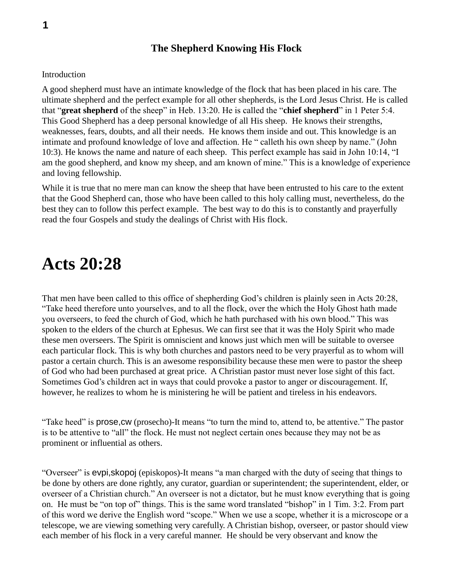#### **The Shepherd Knowing His Flock**

#### Introduction

A good shepherd must have an intimate knowledge of the flock that has been placed in his care. The ultimate shepherd and the perfect example for all other shepherds, is the Lord Jesus Christ. He is called that "**great shepherd** of the sheep" in Heb. 13:20. He is called the "**chief shepherd**" in 1 Peter 5:4. This Good Shepherd has a deep personal knowledge of all His sheep. He knows their strengths, weaknesses, fears, doubts, and all their needs. He knows them inside and out. This knowledge is an intimate and profound knowledge of love and affection. He " calleth his own sheep by name." (John 10:3). He knows the name and nature of each sheep. This perfect example has said in John 10:14, "I am the good shepherd, and know my sheep, and am known of mine." This is a knowledge of experience and loving fellowship.

While it is true that no mere man can know the sheep that have been entrusted to his care to the extent that the Good Shepherd can, those who have been called to this holy calling must, nevertheless, do the best they can to follow this perfect example. The best way to do this is to constantly and prayerfully read the four Gospels and study the dealings of Christ with His flock.

### **Acts 20:28**

That men have been called to this office of shepherding God's children is plainly seen in Acts 20:28, "Take heed therefore unto yourselves, and to all the flock, over the which the Holy Ghost hath made you overseers, to feed the church of God, which he hath purchased with his own blood." This was spoken to the elders of the church at Ephesus. We can first see that it was the Holy Spirit who made these men overseers. The Spirit is omniscient and knows just which men will be suitable to oversee each particular flock. This is why both churches and pastors need to be very prayerful as to whom will pastor a certain church. This is an awesome responsibility because these men were to pastor the sheep of God who had been purchased at great price. A Christian pastor must never lose sight of this fact. Sometimes God's children act in ways that could provoke a pastor to anger or discouragement. If, however, he realizes to whom he is ministering he will be patient and tireless in his endeavors.

"Take heed" is prose,cw (prosecho)-It means "to turn the mind to, attend to, be attentive." The pastor is to be attentive to "all" the flock. He must not neglect certain ones because they may not be as prominent or influential as others.

"Overseer" is evpi,skopoj (episkopos)-It means "a man charged with the duty of seeing that things to be done by others are done rightly, any curator, guardian or superintendent; the superintendent, elder, or overseer of a Christian church." An overseer is not a dictator, but he must know everything that is going on. He must be "on top of" things. This is the same word translated "bishop" in 1 Tim. 3:2. From part of this word we derive the English word "scope." When we use a scope, whether it is a microscope or a telescope, we are viewing something very carefully. A Christian bishop, overseer, or pastor should view each member of his flock in a very careful manner. He should be very observant and know the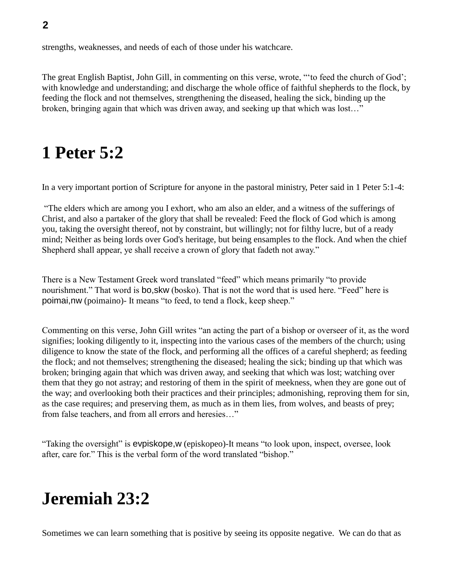strengths, weaknesses, and needs of each of those under his watchcare.

The great English Baptist, John Gill, in commenting on this verse, wrote, "'to feed the church of God'; with knowledge and understanding; and discharge the whole office of faithful shepherds to the flock, by feeding the flock and not themselves, strengthening the diseased, healing the sick, binding up the broken, bringing again that which was driven away, and seeking up that which was lost…"

### **1 Peter 5:2**

In a very important portion of Scripture for anyone in the pastoral ministry, Peter said in 1 Peter 5:1-4:

"The elders which are among you I exhort, who am also an elder, and a witness of the sufferings of Christ, and also a partaker of the glory that shall be revealed: Feed the flock of God which is among you, taking the oversight thereof, not by constraint, but willingly; not for filthy lucre, but of a ready mind; Neither as being lords over God's heritage, but being ensamples to the flock. And when the chief Shepherd shall appear, ye shall receive a crown of glory that fadeth not away."

There is a New Testament Greek word translated "feed" which means primarily "to provide nourishment." That word is bo,skw (bosko). That is not the word that is used here. "Feed" here is poimai,nw (poimaino)- It means "to feed, to tend a flock, keep sheep."

Commenting on this verse, John Gill writes "an acting the part of a bishop or overseer of it, as the word signifies; looking diligently to it, inspecting into the various cases of the members of the church; using diligence to know the state of the flock, and performing all the offices of a careful shepherd; as feeding the flock; and not themselves; strengthening the diseased; healing the sick; binding up that which was broken; bringing again that which was driven away, and seeking that which was lost; watching over them that they go not astray; and restoring of them in the spirit of meekness, when they are gone out of the way; and overlooking both their practices and their principles; admonishing, reproving them for sin, as the case requires; and preserving them, as much as in them lies, from wolves, and beasts of prey; from false teachers, and from all errors and heresies…"

"Taking the oversight" is evpiskope,w (episkopeo)-It means "to look upon, inspect, oversee, look after, care for." This is the verbal form of the word translated "bishop."

## **Jeremiah 23:2**

Sometimes we can learn something that is positive by seeing its opposite negative. We can do that as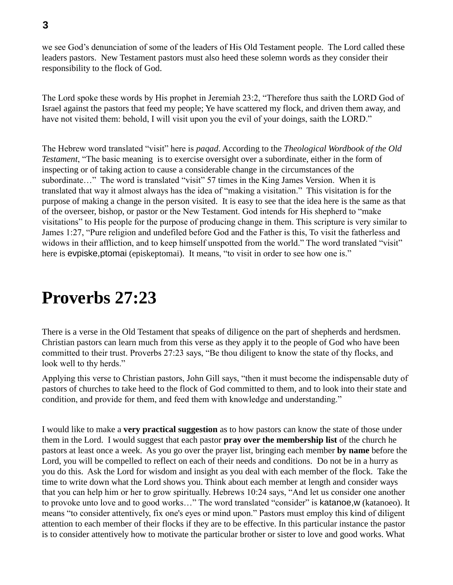we see God's denunciation of some of the leaders of His Old Testament people. The Lord called these leaders pastors. New Testament pastors must also heed these solemn words as they consider their responsibility to the flock of God.

The Lord spoke these words by His prophet in Jeremiah 23:2, "Therefore thus saith the LORD God of Israel against the pastors that feed my people; Ye have scattered my flock, and driven them away, and have not visited them: behold, I will visit upon you the evil of your doings, saith the LORD."

The Hebrew word translated "visit" here is *paqad*. According to the *Theological Wordbook of the Old Testament*, "The basic meaning is to exercise oversight over a subordinate, either in the form of inspecting or of taking action to cause a considerable change in the circumstances of the subordinate..." The word is translated "visit" 57 times in the King James Version. When it is translated that way it almost always has the idea of "making a visitation." This visitation is for the purpose of making a change in the person visited. It is easy to see that the idea here is the same as that of the overseer, bishop, or pastor or the New Testament. God intends for His shepherd to "make visitations" to His people for the purpose of producing change in them. This scripture is very similar to James 1:27, "Pure religion and undefiled before God and the Father is this, To visit the fatherless and widows in their affliction, and to keep himself unspotted from the world." The word translated "visit" here is evpiske, ptomai (episkeptomai). It means, "to visit in order to see how one is."

### **Proverbs 27:23**

There is a verse in the Old Testament that speaks of diligence on the part of shepherds and herdsmen. Christian pastors can learn much from this verse as they apply it to the people of God who have been committed to their trust. Proverbs 27:23 says, "Be thou diligent to know the state of thy flocks, and look well to thy herds."

Applying this verse to Christian pastors, John Gill says, "then it must become the indispensable duty of pastors of churches to take heed to the flock of God committed to them, and to look into their state and condition, and provide for them, and feed them with knowledge and understanding."

I would like to make a **very practical suggestion** as to how pastors can know the state of those under them in the Lord. I would suggest that each pastor **pray over the membership list** of the church he pastors at least once a week. As you go over the prayer list, bringing each member **by name** before the Lord, you will be compelled to reflect on each of their needs and conditions. Do not be in a hurry as you do this. Ask the Lord for wisdom and insight as you deal with each member of the flock. Take the time to write down what the Lord shows you. Think about each member at length and consider ways that you can help him or her to grow spiritually. Hebrews 10:24 says, "And let us consider one another to provoke unto love and to good works…" The word translated "consider" is katanoe,w (katanoeo). It means "to consider attentively, fix one's eyes or mind upon." Pastors must employ this kind of diligent attention to each member of their flocks if they are to be effective. In this particular instance the pastor is to consider attentively how to motivate the particular brother or sister to love and good works. What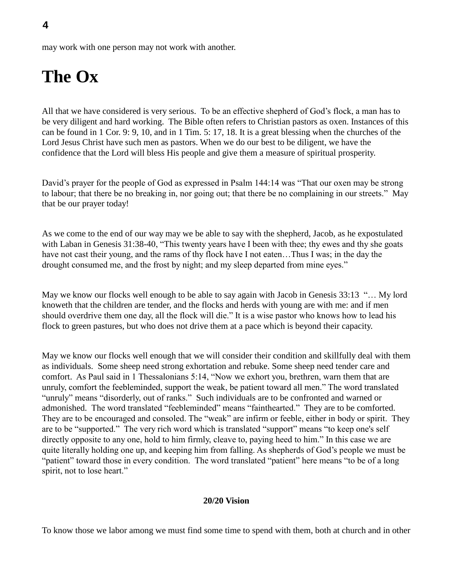may work with one person may not work with another.

# **The Ox**

All that we have considered is very serious. To be an effective shepherd of God's flock, a man has to be very diligent and hard working. The Bible often refers to Christian pastors as oxen. Instances of this can be found in 1 Cor. 9: 9, 10, and in 1 Tim. 5: 17, 18. It is a great blessing when the churches of the Lord Jesus Christ have such men as pastors. When we do our best to be diligent, we have the confidence that the Lord will bless His people and give them a measure of spiritual prosperity.

David's prayer for the people of God as expressed in Psalm 144:14 was "That our oxen may be strong to labour; that there be no breaking in, nor going out; that there be no complaining in our streets." May that be our prayer today!

As we come to the end of our way may we be able to say with the shepherd, Jacob, as he expostulated with Laban in Genesis 31:38-40, "This twenty years have I been with thee; thy ewes and thy she goats have not cast their young, and the rams of thy flock have I not eaten…Thus I was; in the day the drought consumed me, and the frost by night; and my sleep departed from mine eyes."

May we know our flocks well enough to be able to say again with Jacob in Genesis 33:13 "… My lord knoweth that the children are tender, and the flocks and herds with young are with me: and if men should overdrive them one day, all the flock will die." It is a wise pastor who knows how to lead his flock to green pastures, but who does not drive them at a pace which is beyond their capacity.

May we know our flocks well enough that we will consider their condition and skillfully deal with them as individuals. Some sheep need strong exhortation and rebuke. Some sheep need tender care and comfort. As Paul said in 1 Thessalonians 5:14, "Now we exhort you, brethren, warn them that are unruly, comfort the feebleminded, support the weak, be patient toward all men." The word translated "unruly" means "disorderly, out of ranks." Such individuals are to be confronted and warned or admonished. The word translated "feebleminded" means "fainthearted." They are to be comforted. They are to be encouraged and consoled. The "weak" are infirm or feeble, either in body or spirit. They are to be "supported." The very rich word which is translated "support" means "to keep one's self directly opposite to any one, hold to him firmly, cleave to, paying heed to him." In this case we are quite literally holding one up, and keeping him from falling. As shepherds of God's people we must be "patient" toward those in every condition. The word translated "patient" here means "to be of a long spirit, not to lose heart."

#### **20/20 Vision**

To know those we labor among we must find some time to spend with them, both at church and in other